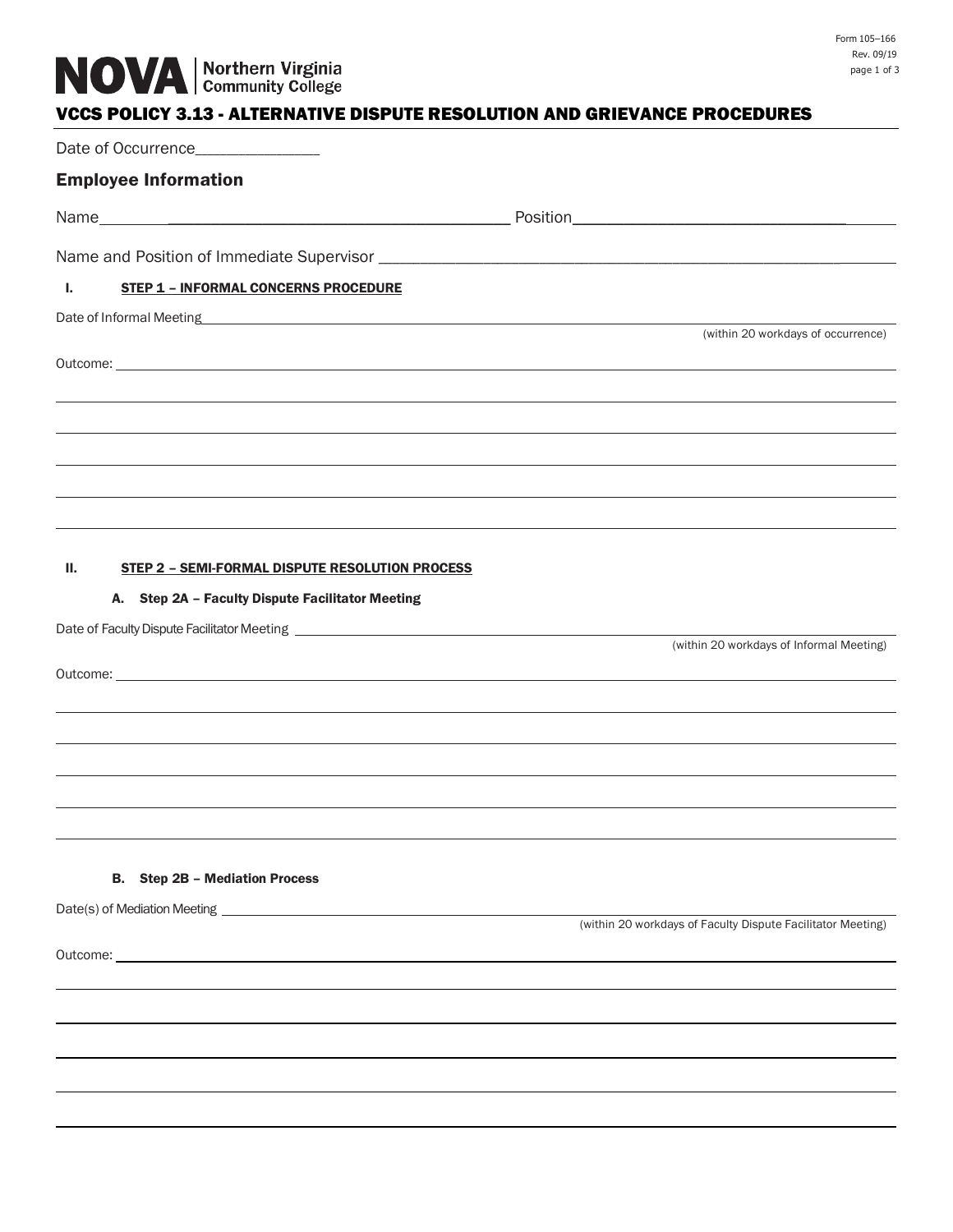# VCCS POLICY 3.13 - ALTERNATIVE DISPUTE RESOLUTION AND GRIEVANCE PROCEDURES

| Date of Occurrence_______________                                                                                                                                                                                              |                                                                                  |
|--------------------------------------------------------------------------------------------------------------------------------------------------------------------------------------------------------------------------------|----------------------------------------------------------------------------------|
| <b>Employee Information</b>                                                                                                                                                                                                    |                                                                                  |
|                                                                                                                                                                                                                                |                                                                                  |
|                                                                                                                                                                                                                                |                                                                                  |
| Ъ.<br><b>STEP 1 - INFORMAL CONCERNS PROCEDURE</b>                                                                                                                                                                              |                                                                                  |
| Date of Informal Meeting here are all the contract of the contract of the contract of the contract of the contract of the contract of the contract of the contract of the contract of the contract of the contract of the cont |                                                                                  |
|                                                                                                                                                                                                                                | (within 20 workdays of occurrence)                                               |
| Outcome: experience and the contract of the contract of the contract of the contract of the contract of the contract of the contract of the contract of the contract of the contract of the contract of the contract of the co |                                                                                  |
|                                                                                                                                                                                                                                |                                                                                  |
|                                                                                                                                                                                                                                |                                                                                  |
|                                                                                                                                                                                                                                |                                                                                  |
|                                                                                                                                                                                                                                | ,我们也不会有什么?""我们的人,我们也不会有什么?""我们的人,我们也不会有什么?""我们的人,我们也不会有什么?""我们的人,我们也不会有什么?""我们的人 |
|                                                                                                                                                                                                                                |                                                                                  |
| Ш.<br>STEP 2 - SEMI-FORMAL DISPUTE RESOLUTION PROCESS                                                                                                                                                                          |                                                                                  |
| A. Step 2A - Faculty Dispute Facilitator Meeting                                                                                                                                                                               |                                                                                  |
|                                                                                                                                                                                                                                | (within 20 workdays of Informal Meeting)                                         |
| Outcome: with a state of the state of the state of the state of the state of the state of the state of the state of the state of the state of the state of the state of the state of the state of the state of the state of th |                                                                                  |
|                                                                                                                                                                                                                                |                                                                                  |
|                                                                                                                                                                                                                                |                                                                                  |
|                                                                                                                                                                                                                                |                                                                                  |
|                                                                                                                                                                                                                                |                                                                                  |
|                                                                                                                                                                                                                                |                                                                                  |
| <b>B.</b> Step 2B - Mediation Process                                                                                                                                                                                          |                                                                                  |
|                                                                                                                                                                                                                                |                                                                                  |
|                                                                                                                                                                                                                                | (within 20 workdays of Faculty Dispute Facilitator Meeting)                      |
|                                                                                                                                                                                                                                |                                                                                  |
|                                                                                                                                                                                                                                |                                                                                  |
|                                                                                                                                                                                                                                |                                                                                  |
|                                                                                                                                                                                                                                |                                                                                  |
|                                                                                                                                                                                                                                |                                                                                  |
|                                                                                                                                                                                                                                |                                                                                  |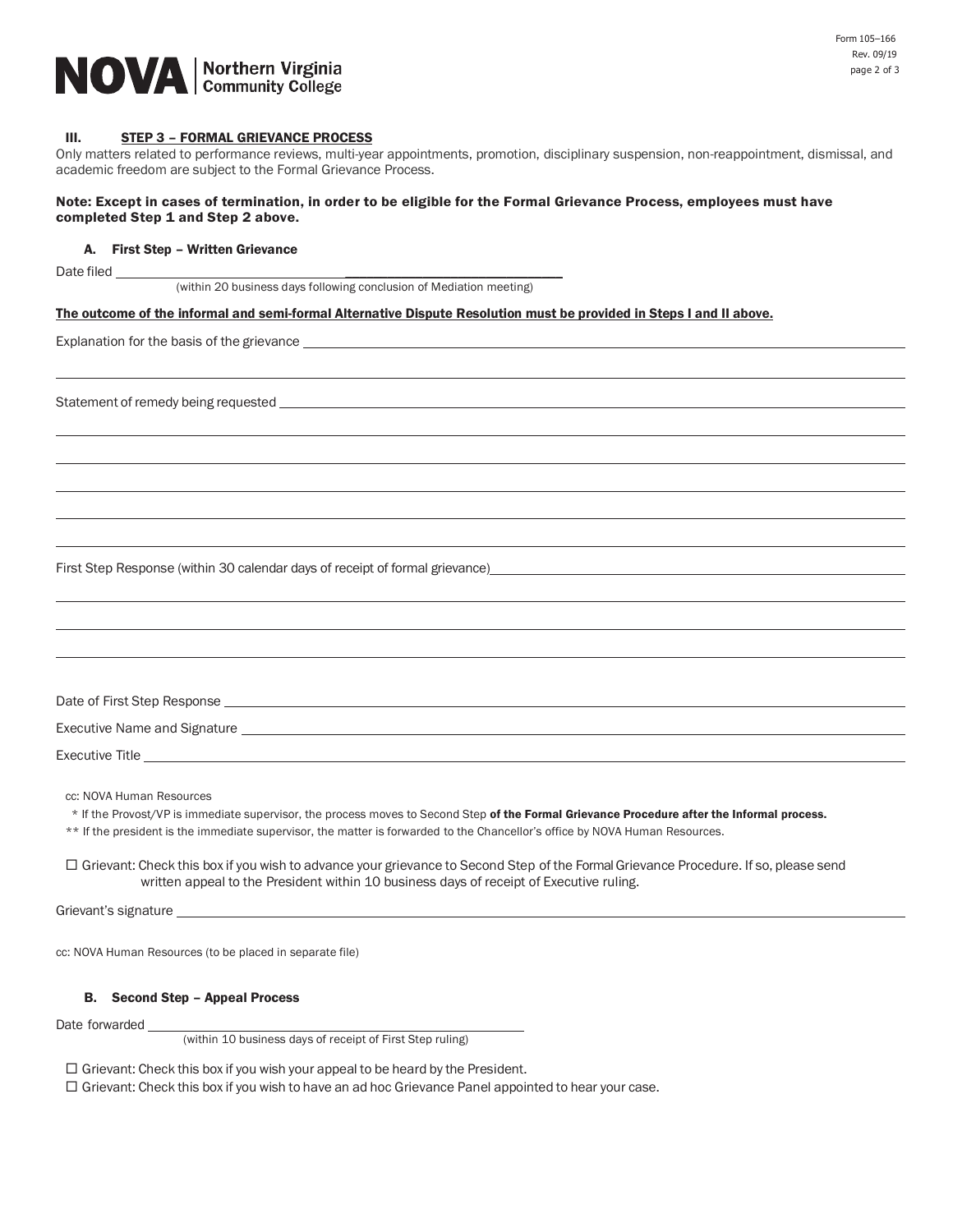

## III. STEP 3 - FORMAL GRIEVANCE PROCESS

Only matters related to performance reviews, multi-year appointments, promotion, disciplinary suspension, non-reappointment, dismissal, and academic freedom are subject to the Formal Grievance Process.

## Note: Except in cases of termination, in order to be eligible for the Formal Grievance Process, employees must have completed Step 1 and Step 2 above.

### A. First Step – Written Grievance

Date filed \_\_\_\_\_\_\_\_\_\_\_\_\_\_\_\_\_\_\_\_\_\_\_\_\_\_\_\_\_\_\_

(within 20 business days following conclusion of Mediation meeting)

#### The outcome of the informal and semi-formal Alternative Dispute Resolution must be provided in Steps I and II above.

Explanation for the basis of the grievance \_

Statement of remedy being requested

First Step Response (within 30 calendar days of receipt of formal grievance)

| Date of First Step Response  |
|------------------------------|
| Executive Name and Signature |
| <b>Executive Title</b>       |

cc: NOVA Human Resources

\* If the Provost/VP is immediate supervisor, the process moves to Second Step of the Formal Grievance Procedure after the Informal process.

\*\* If the president is the immediate supervisor, the matter is forwarded to the Chancellor's office by NOVA Human Resources.

 Grievant: Check this box if you wish to advance your grievance to Second Step of the Formal Grievance Procedure. If so, please send written appeal to the President within 10 business days of receipt of Executive ruling.

Grievant's signature

cc: NOVA Human Resources (to be placed in separate file)

## B. Second Step – Appeal Process

Date forwarded

(within 10 business days of receipt of First Step ruling)

 $\Box$  Grievant: Check this box if you wish your appeal to be heard by the President.

 $\Box$  Grievant: Check this box if you wish to have an ad hoc Grievance Panel appointed to hear your case.